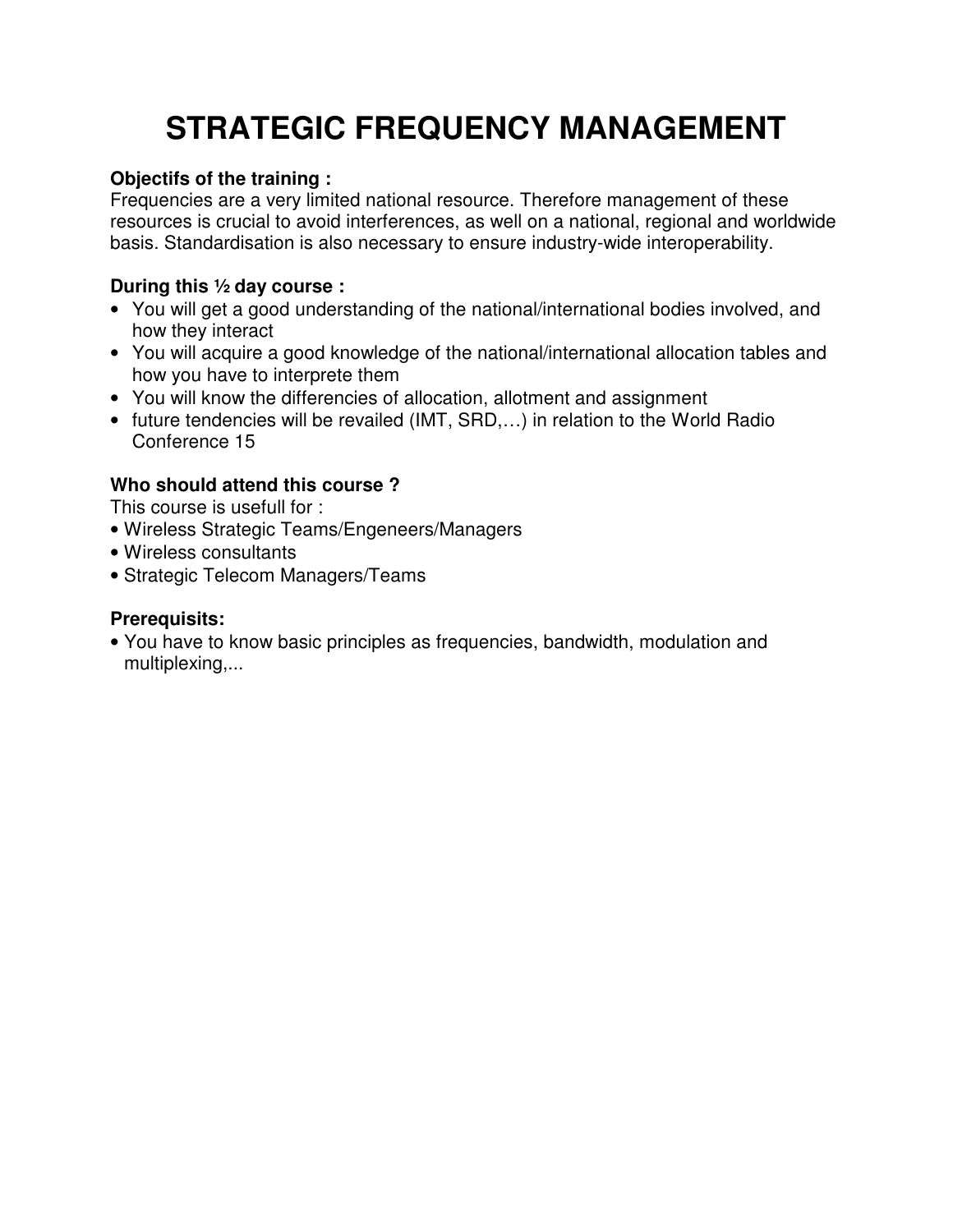# **STRATEGIC FREQUENCY MANAGEMENT**

#### **Objectifs of the training :**

Frequencies are a very limited national resource. Therefore management of these resources is crucial to avoid interferences, as well on a national, regional and worldwide basis. Standardisation is also necessary to ensure industry-wide interoperability.

## **During this ½ day course :**

- You will get a good understanding of the national/international bodies involved, and how they interact
- You will acquire a good knowledge of the national/international allocation tables and how you have to interprete them
- You will know the differencies of allocation, allotment and assignment
- future tendencies will be revailed (IMT, SRD,…) in relation to the World Radio Conference 15

## **Who should attend this course ?**

This course is usefull for :

- Wireless Strategic Teams/Engeneers/Managers
- Wireless consultants
- Strategic Telecom Managers/Teams

#### **Prerequisits:**

• You have to know basic principles as frequencies, bandwidth, modulation and multiplexing,...